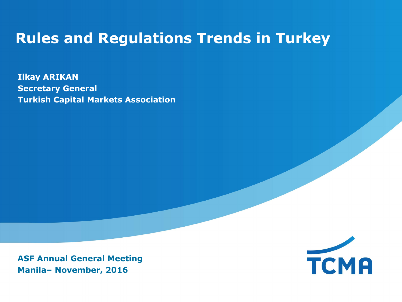## **Rules and Regulations Trends in Turkey**

**Ilkay ARIKAN Secretary General Turkish Capital Markets Association**

**ASF Annual General Meeting Manila– November, 2016**

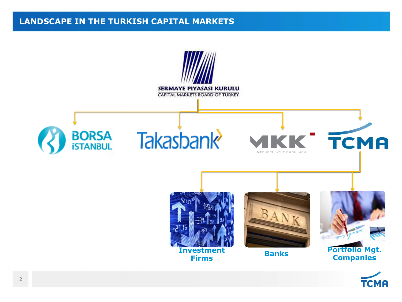#### **LANDSCAPE IN THE TURKISH CAPITAL MARKETS**

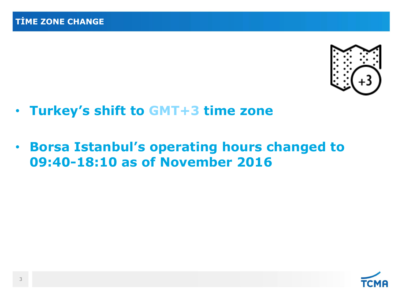

- **Turkey's shift to GMT+3 time zone**
- **Borsa Istanbul's operating hours changed to 09:40-18:10 as of November 2016**

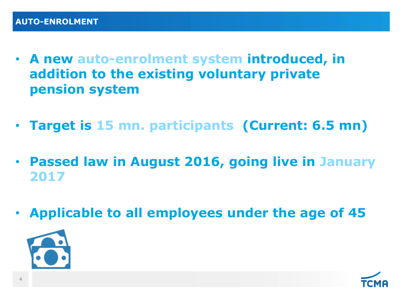- **A new auto-enrolment system introduced, in addition to the existing voluntary private pension system**
- **Target is 15 mn. participants (Current: 6.5 mn)**
- **Passed law in August 2016, going live in January 2017**
- **Applicable to all employees under the age of 45**



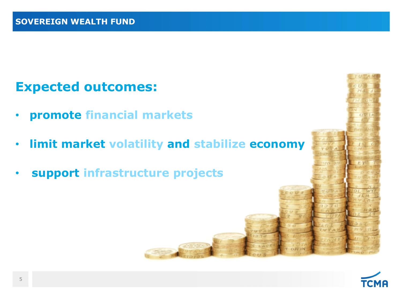### **Expected outcomes:**

- **promote financial markets**
- **limit market volatility and stabilize economy**
- **support infrastructure projects**

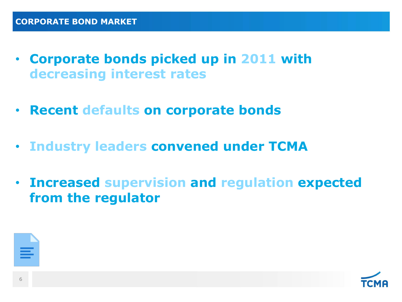- **Corporate bonds picked up in 2011 with decreasing interest rates**
- **Recent defaults on corporate bonds**
- **Industry leaders convened under TCMA**
- **Increased supervision and regulation expected from the regulator**



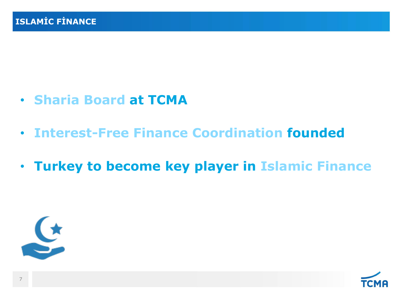- **Sharia Board at TCMA**
- **Interest-Free Finance Coordination founded**
- **Turkey to become key player in Islamic Finance**



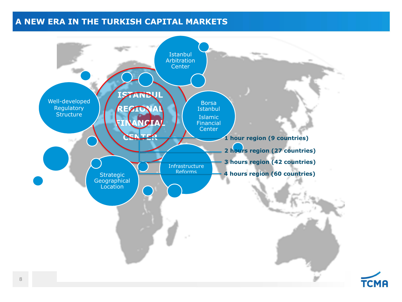### **A NEW ERA IN THE TURKISH CAPITAL MARKETS**



**TCMA**